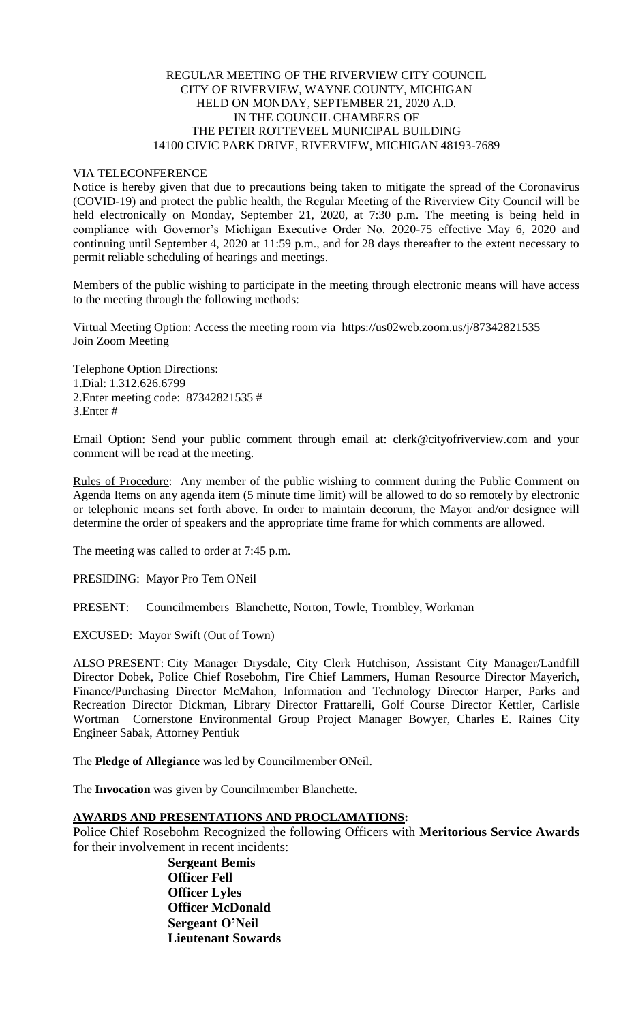## REGULAR MEETING OF THE RIVERVIEW CITY COUNCIL CITY OF RIVERVIEW, WAYNE COUNTY, MICHIGAN HELD ON MONDAY, SEPTEMBER 21, 2020 A.D. IN THE COUNCIL CHAMBERS OF THE PETER ROTTEVEEL MUNICIPAL BUILDING 14100 CIVIC PARK DRIVE, RIVERVIEW, MICHIGAN 48193-7689

### VIA TELECONFERENCE

Notice is hereby given that due to precautions being taken to mitigate the spread of the Coronavirus (COVID-19) and protect the public health, the Regular Meeting of the Riverview City Council will be held electronically on Monday, September 21, 2020, at 7:30 p.m. The meeting is being held in compliance with Governor's Michigan Executive Order No. 2020-75 effective May 6, 2020 and continuing until September 4, 2020 at 11:59 p.m., and for 28 days thereafter to the extent necessary to permit reliable scheduling of hearings and meetings.

Members of the public wishing to participate in the meeting through electronic means will have access to the meeting through the following methods:

Virtual Meeting Option: Access the meeting room via https://us02web.zoom.us/j/87342821535 Join Zoom Meeting

Telephone Option Directions: 1.Dial: 1.312.626.6799 2.Enter meeting code: 87342821535 # 3.Enter #

Email Option: Send your public comment through email at: clerk@cityofriverview.com and your comment will be read at the meeting.

Rules of Procedure: Any member of the public wishing to comment during the Public Comment on Agenda Items on any agenda item (5 minute time limit) will be allowed to do so remotely by electronic or telephonic means set forth above. In order to maintain decorum, the Mayor and/or designee will determine the order of speakers and the appropriate time frame for which comments are allowed.

The meeting was called to order at 7:45 p.m.

PRESIDING: Mayor Pro Tem ONeil

PRESENT: Councilmembers Blanchette, Norton, Towle, Trombley, Workman

EXCUSED: Mayor Swift (Out of Town)

ALSO PRESENT: City Manager Drysdale, City Clerk Hutchison, Assistant City Manager/Landfill Director Dobek, Police Chief Rosebohm, Fire Chief Lammers, Human Resource Director Mayerich, Finance/Purchasing Director McMahon, Information and Technology Director Harper, Parks and Recreation Director Dickman, Library Director Frattarelli, Golf Course Director Kettler, Carlisle Wortman Cornerstone Environmental Group Project Manager Bowyer, Charles E. Raines City Engineer Sabak, Attorney Pentiuk

The **Pledge of Allegiance** was led by Councilmember ONeil.

The **Invocation** was given by Councilmember Blanchette.

#### **AWARDS AND PRESENTATIONS AND PROCLAMATIONS:**

Police Chief Rosebohm Recognized the following Officers with **Meritorious Service Awards** for their involvement in recent incidents:

> **Sergeant Bemis Officer Fell Officer Lyles Officer McDonald Sergeant O'Neil Lieutenant Sowards**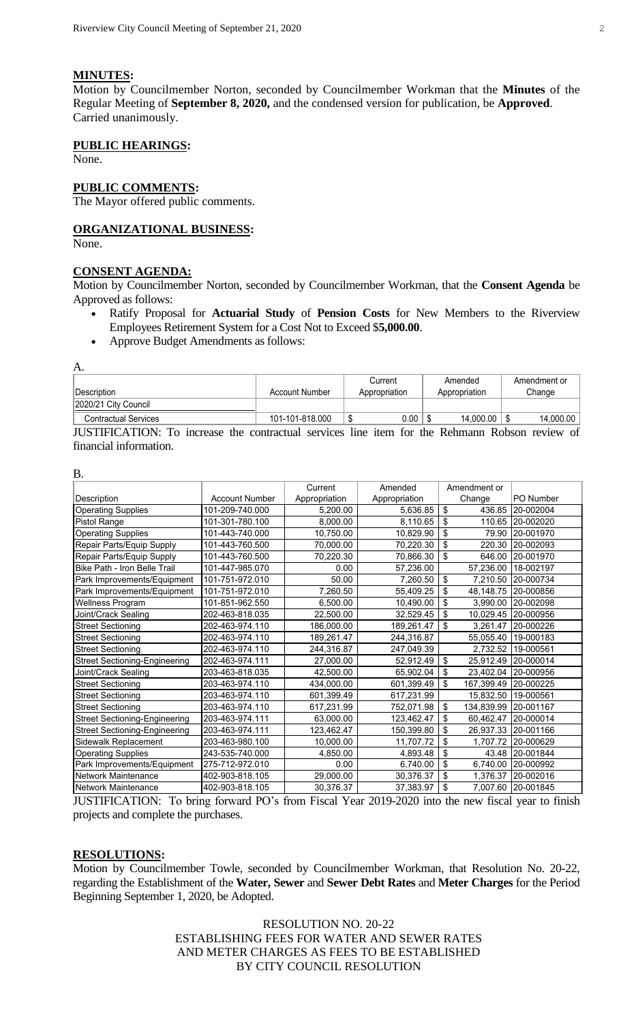# **MINUTES:**

Motion by Councilmember Norton, seconded by Councilmember Workman that the **Minutes** of the Regular Meeting of **September 8, 2020,** and the condensed version for publication, be **Approved**. Carried unanimously.

# **PUBLIC HEARINGS:**

None.

# **PUBLIC COMMENTS:**

The Mayor offered public comments.

# **ORGANIZATIONAL BUSINESS:**

None.

# **CONSENT AGENDA:**

Motion by Councilmember Norton, seconded by Councilmember Workman, that the **Consent Agenda** be Approved as follows:

- Ratify Proposal for **Actuarial Study** of **Pension Costs** for New Members to the Riverview Employees Retirement System for a Cost Not to Exceed \$**5,000.00**.
- Approve Budget Amendments as follows:

A.

B.

| Description                 | Account Number  | Current<br>Appropriation | Amended<br>Appropriation | Amendment or<br>Change |
|-----------------------------|-----------------|--------------------------|--------------------------|------------------------|
| 2020/21 City Council        |                 |                          |                          |                        |
| <b>Contractual Services</b> | 101-101-818.000 | $0.00\,$                 | 14.000.00                | 14,000.00              |

JUSTIFICATION: To increase the contractual services line item for the Rehmann Robson review of financial information.

| D.                                   |                       |               |               |                                       |                     |
|--------------------------------------|-----------------------|---------------|---------------|---------------------------------------|---------------------|
|                                      |                       | Current       | Amended       | Amendment or                          |                     |
| Description                          | <b>Account Number</b> | Appropriation | Appropriation | Change                                | PO Number           |
| <b>Operating Supplies</b>            | 101-209-740.000       | 5.200.00      | 5,636.85      | \$<br>436.85                          | 20-002004           |
| Pistol Range                         | 101-301-780.100       | 8,000.00      | 8,110.65      | \$<br>110.65                          | 20-002020           |
| <b>Operating Supplies</b>            | 101-443-740.000       | 10,750.00     | 10,829.90     | \$<br>79.90                           | 20-001970           |
| Repair Parts/Equip Supply            | 101-443-760.500       | 70,000.00     | 70,220.30     | \$<br>220.30                          | 20-002093           |
| Repair Parts/Equip Supply            | 101-443-760.500       | 70,220.30     | 70,866.30     | -\$<br>646.00                         | 20-001970           |
| Bike Path - Iron Belle Trail         | 101-447-985.070       | 0.00          | 57,236.00     | 57,236.00                             | 18-002197           |
| Park Improvements/Equipment          | 101-751-972.010       | 50.00         | 7,260.50      | $\boldsymbol{\mathsf{S}}$<br>7,210.50 | 20-000734           |
| Park Improvements/Equipment          | 101-751-972.010       | 7,260.50      | 55,409.25     | \$<br>48.148.75                       | 20-000856           |
| Wellness Program                     | 101-851-962.550       | 6,500.00      | 10,490.00     | \$<br>3,990.00                        | 20-002098           |
| Joint/Crack Sealing                  | 202-463-818.035       | 22,500.00     | 32,529.45     | \$                                    | 10,029.45 20-000956 |
| <b>Street Sectioning</b>             | 202-463-974.110       | 186,000.00    | 189,261.47    | \$<br>3,261.47                        | 20-000226           |
| <b>Street Sectioning</b>             | 202-463-974.110       | 189,261.47    | 244,316.87    | 55,055.40                             | 19-000183           |
| <b>Street Sectioning</b>             | 202-463-974.110       | 244,316.87    | 247,049.39    | 2,732.52                              | 19-000561           |
| <b>Street Sectioning-Engineering</b> | 202-463-974.111       | 27,000.00     | 52,912.49     | $\boldsymbol{\mathsf{S}}$             | 25,912.49 20-000014 |
| Joint/Crack Sealing                  | 203-463-818.035       | 42,500.00     | 65,902.04     | -\$<br>23,402.04                      | 20-000956           |
| <b>Street Sectioning</b>             | 203-463-974.110       | 434,000.00    | 601,399.49    | \$<br>167,399.49                      | 20-000225           |
| <b>Street Sectioning</b>             | 203-463-974.110       | 601,399.49    | 617,231.99    | 15,832.50                             | 19-000561           |
| <b>Street Sectioning</b>             | 203-463-974.110       | 617,231.99    | 752,071.98    | \$<br>134,839.99                      | 20-001167           |
| <b>Street Sectioning-Engineering</b> | 203-463-974.111       | 63,000.00     | 123,462.47    | \$                                    | 60,462.47 20-000014 |
| <b>Street Sectioning-Engineering</b> | 203-463-974.111       | 123,462.47    | 150,399.80    | \$<br>26,937.33                       | 20-001166           |
| Sidewalk Replacement                 | 203-463-980.100       | 10,000.00     | 11,707.72     | \$                                    | 1,707.72 20-000629  |
| <b>Operating Supplies</b>            | 243-535-740.000       | 4,850.00      | 4,893.48      | 43.48<br>-\$                          | 20-001844           |
| Park Improvements/Equipment          | 275-712-972.010       | 0.00          | 6,740.00      | \$<br>6,740.00                        | 20-000992           |
| Network Maintenance                  | 402-903-818.105       | 29,000.00     | 30,376.37     | \$<br>1,376.37                        | 20-002016           |
| Network Maintenance                  | 402-903-818.105       | 30,376.37     | 37,383.97     | \$<br>7,007.60                        | 20-001845           |

JUSTIFICATION: To bring forward PO's from Fiscal Year 2019-2020 into the new fiscal year to finish projects and complete the purchases.

#### **RESOLUTIONS:**

Motion by Councilmember Towle, seconded by Councilmember Workman, that Resolution No. 20-22, regarding the Establishment of the **Water, Sewer** and **Sewer Debt Rates** and **Meter Charges** for the Period Beginning September 1, 2020, be Adopted.

> RESOLUTION NO. 20-22 ESTABLISHING FEES FOR WATER AND SEWER RATES AND METER CHARGES AS FEES TO BE ESTABLISHED BY CITY COUNCIL RESOLUTION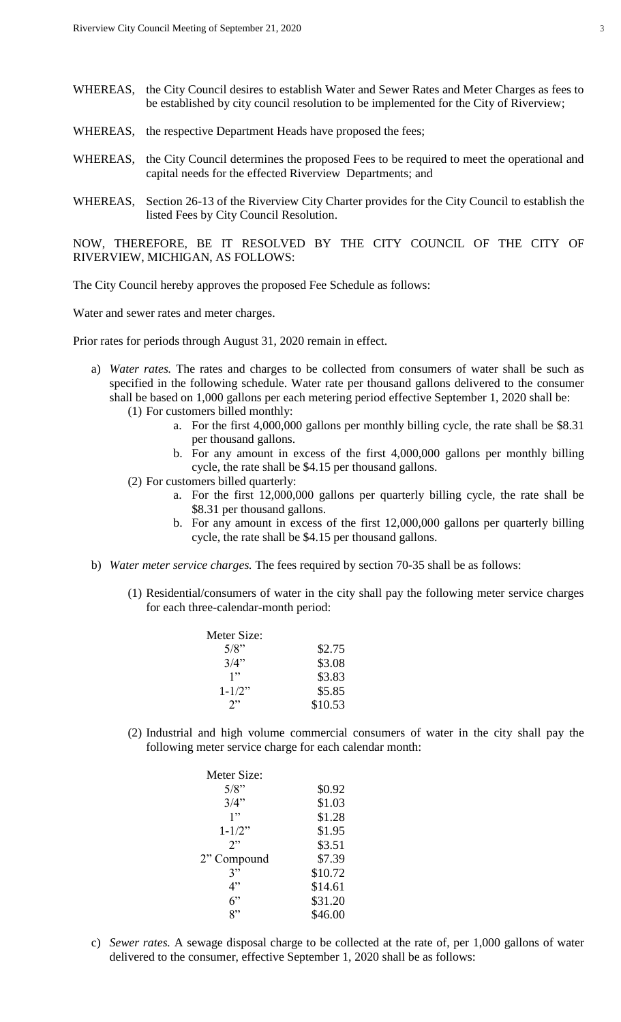- WHEREAS, the City Council desires to establish Water and Sewer Rates and Meter Charges as fees to be established by city council resolution to be implemented for the City of Riverview;
- WHEREAS, the respective Department Heads have proposed the fees;
- WHEREAS, the City Council determines the proposed Fees to be required to meet the operational and capital needs for the effected Riverview Departments; and
- WHEREAS, Section 26-13 of the Riverview City Charter provides for the City Council to establish the listed Fees by City Council Resolution.

NOW, THEREFORE, BE IT RESOLVED BY THE CITY COUNCIL OF THE CITY OF RIVERVIEW, MICHIGAN, AS FOLLOWS:

The City Council hereby approves the proposed Fee Schedule as follows:

Water and sewer rates and meter charges.

Prior rates for periods through August 31, 2020 remain in effect.

- a) *Water rates.* The rates and charges to be collected from consumers of water shall be such as specified in the following schedule. Water rate per thousand gallons delivered to the consumer shall be based on 1,000 gallons per each metering period effective September 1, 2020 shall be: (1) For customers billed monthly:
	- a. For the first 4,000,000 gallons per monthly billing cycle, the rate shall be \$8.31 per thousand gallons.
	- b. For any amount in excess of the first 4,000,000 gallons per monthly billing cycle, the rate shall be \$4.15 per thousand gallons.
	- (2) For customers billed quarterly:
		- a. For the first 12,000,000 gallons per quarterly billing cycle, the rate shall be \$8.31 per thousand gallons.
		- b. For any amount in excess of the first 12,000,000 gallons per quarterly billing cycle, the rate shall be \$4.15 per thousand gallons.
- b) *Water meter service charges.* The fees required by section 70-35 shall be as follows:
	- (1) Residential/consumers of water in the city shall pay the following meter service charges for each three-calendar-month period:

| Meter Size:            |         |
|------------------------|---------|
| 5/8"                   | \$2.75  |
| 3/4"                   | \$3.08  |
| 1"                     | \$3.83  |
| $1 - 1/2$ <sup>*</sup> | \$5.85  |
| 7"                     | \$10.53 |

(2) Industrial and high volume commercial consumers of water in the city shall pay the following meter service charge for each calendar month:

| Meter Size: |         |
|-------------|---------|
| 5/8"        | \$0.92  |
| 3/4"        | \$1.03  |
| 1"          | \$1.28  |
| $1 - 1/2$ " | \$1.95  |
| 2           | \$3.51  |
| 2" Compound | \$7.39  |
| 3"          | \$10.72 |
| 4"          | \$14.61 |
| 6"          | \$31.20 |
| 2"          | \$46.00 |

c) *Sewer rates.* A sewage disposal charge to be collected at the rate of, per 1,000 gallons of water delivered to the consumer, effective September 1, 2020 shall be as follows: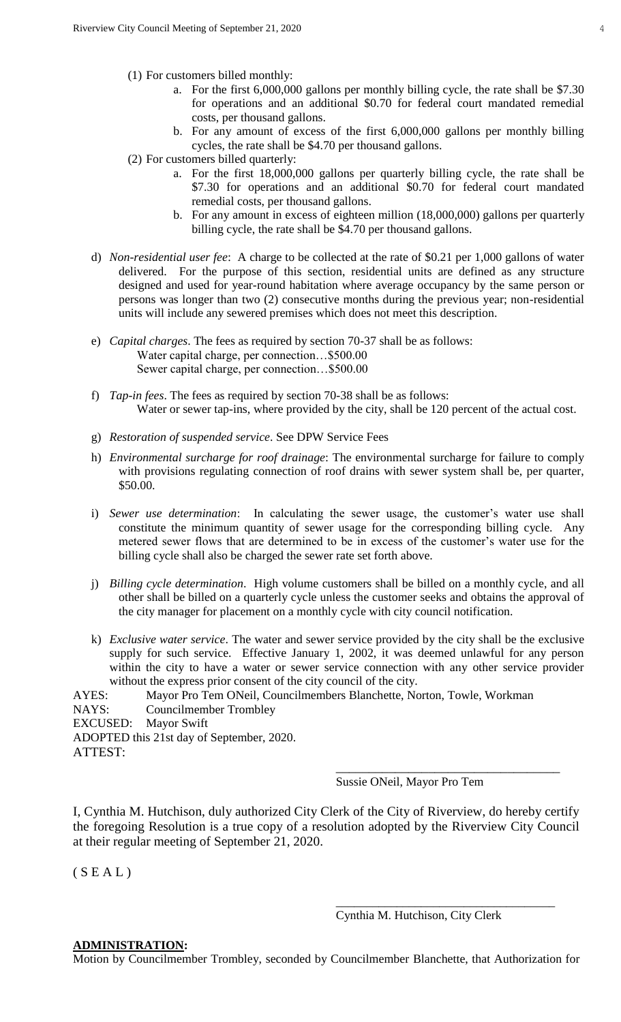- (1) For customers billed monthly:
	- a. For the first 6,000,000 gallons per monthly billing cycle, the rate shall be \$7.30 for operations and an additional \$0.70 for federal court mandated remedial costs, per thousand gallons.
	- b. For any amount of excess of the first 6,000,000 gallons per monthly billing cycles, the rate shall be \$4.70 per thousand gallons.
- (2) For customers billed quarterly:
	- a. For the first 18,000,000 gallons per quarterly billing cycle, the rate shall be \$7.30 for operations and an additional \$0.70 for federal court mandated remedial costs, per thousand gallons.
	- b. For any amount in excess of eighteen million (18,000,000) gallons per quarterly billing cycle, the rate shall be \$4.70 per thousand gallons.
- d) *Non-residential user fee*: A charge to be collected at the rate of \$0.21 per 1,000 gallons of water delivered. For the purpose of this section, residential units are defined as any structure designed and used for year-round habitation where average occupancy by the same person or persons was longer than two (2) consecutive months during the previous year; non-residential units will include any sewered premises which does not meet this description.
- e) *Capital charges*. The fees as required by section 70-37 shall be as follows: Water capital charge, per connection…\$500.00 Sewer capital charge, per connection…\$500.00
- f) *Tap-in fees*. The fees as required by section 70-38 shall be as follows: Water or sewer tap-ins, where provided by the city, shall be 120 percent of the actual cost.
- g) *Restoration of suspended service*. See DPW Service Fees
- h) *Environmental surcharge for roof drainage*: The environmental surcharge for failure to comply with provisions regulating connection of roof drains with sewer system shall be, per quarter, \$50.00.
- i) *Sewer use determination*: In calculating the sewer usage, the customer's water use shall constitute the minimum quantity of sewer usage for the corresponding billing cycle. Any metered sewer flows that are determined to be in excess of the customer's water use for the billing cycle shall also be charged the sewer rate set forth above.
- j) *Billing cycle determination*. High volume customers shall be billed on a monthly cycle, and all other shall be billed on a quarterly cycle unless the customer seeks and obtains the approval of the city manager for placement on a monthly cycle with city council notification.
- k) *Exclusive water service*. The water and sewer service provided by the city shall be the exclusive supply for such service. Effective January 1, 2002, it was deemed unlawful for any person within the city to have a water or sewer service connection with any other service provider without the express prior consent of the city council of the city.

AYES: Mayor Pro Tem ONeil, Councilmembers Blanchette, Norton, Towle, Workman NAYS: Councilmember Trombley EXCUSED: Mayor Swift ADOPTED this 21st day of September, 2020. ATTEST: \_\_\_\_\_\_\_\_\_\_\_\_\_\_\_\_\_\_\_\_\_\_\_\_\_\_\_\_\_\_\_\_\_\_

Sussie ONeil, Mayor Pro Tem

I, Cynthia M. Hutchison, duly authorized City Clerk of the City of Riverview, do hereby certify the foregoing Resolution is a true copy of a resolution adopted by the Riverview City Council at their regular meeting of September 21, 2020.

 $(S E A L)$ 

Cynthia M. Hutchison, City Clerk

\_\_\_\_\_\_\_\_\_\_\_\_\_\_\_\_\_\_\_\_\_\_\_\_\_\_\_\_\_\_\_\_\_\_\_\_

#### **ADMINISTRATION:**

Motion by Councilmember Trombley, seconded by Councilmember Blanchette, that Authorization for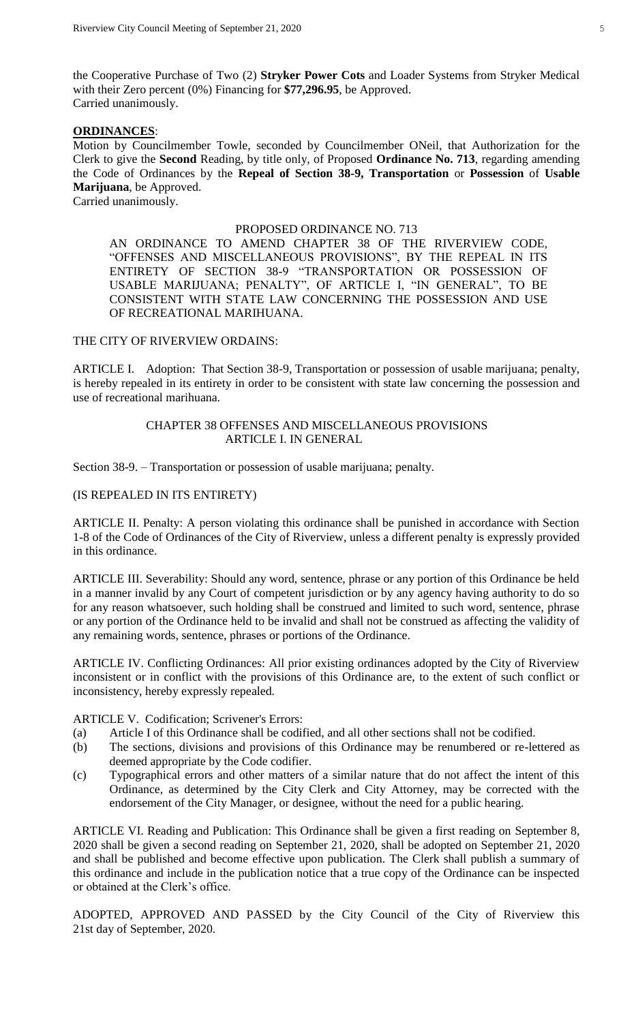the Cooperative Purchase of Two (2) **Stryker Power Cots** and Loader Systems from Stryker Medical with their Zero percent (0%) Financing for **\$77,296.95**, be Approved. Carried unanimously.

#### **ORDINANCES**:

Motion by Councilmember Towle, seconded by Councilmember ONeil, that Authorization for the Clerk to give the **Second** Reading, by title only, of Proposed **Ordinance No. 713**, regarding amending the Code of Ordinances by the **Repeal of Section 38-9, Transportation** or **Possession** of **Usable Marijuana**, be Approved.

Carried unanimously.

### PROPOSED ORDINANCE NO. 713

AN ORDINANCE TO AMEND CHAPTER 38 OF THE RIVERVIEW CODE, "OFFENSES AND MISCELLANEOUS PROVISIONS", BY THE REPEAL IN ITS ENTIRETY OF SECTION 38-9 "TRANSPORTATION OR POSSESSION OF USABLE MARIJUANA; PENALTY", OF ARTICLE I, "IN GENERAL", TO BE CONSISTENT WITH STATE LAW CONCERNING THE POSSESSION AND USE OF RECREATIONAL MARIHUANA.

#### THE CITY OF RIVERVIEW ORDAINS:

ARTICLE I. Adoption: That Section 38-9, Transportation or possession of usable marijuana; penalty, is hereby repealed in its entirety in order to be consistent with state law concerning the possession and use of recreational marihuana.

### CHAPTER 38 OFFENSES AND MISCELLANEOUS PROVISIONS ARTICLE I. IN GENERAL

Section 38-9. – Transportation or possession of usable marijuana; penalty.

# (IS REPEALED IN ITS ENTIRETY)

ARTICLE II. Penalty: A person violating this ordinance shall be punished in accordance with Section 1-8 of the Code of Ordinances of the City of Riverview, unless a different penalty is expressly provided in this ordinance.

ARTICLE III. Severability: Should any word, sentence, phrase or any portion of this Ordinance be held in a manner invalid by any Court of competent jurisdiction or by any agency having authority to do so for any reason whatsoever, such holding shall be construed and limited to such word, sentence, phrase or any portion of the Ordinance held to be invalid and shall not be construed as affecting the validity of any remaining words, sentence, phrases or portions of the Ordinance.

ARTICLE IV. Conflicting Ordinances: All prior existing ordinances adopted by the City of Riverview inconsistent or in conflict with the provisions of this Ordinance are, to the extent of such conflict or inconsistency, hereby expressly repealed.

ARTICLE V. Codification; Scrivener's Errors:

- (a) Article I of this Ordinance shall be codified, and all other sections shall not be codified.
- (b) The sections, divisions and provisions of this Ordinance may be renumbered or re-lettered as deemed appropriate by the Code codifier.
- (c) Typographical errors and other matters of a similar nature that do not affect the intent of this Ordinance, as determined by the City Clerk and City Attorney, may be corrected with the endorsement of the City Manager, or designee, without the need for a public hearing.

ARTICLE VI. Reading and Publication: This Ordinance shall be given a first reading on September 8, 2020 shall be given a second reading on September 21, 2020, shall be adopted on September 21, 2020 and shall be published and become effective upon publication. The Clerk shall publish a summary of this ordinance and include in the publication notice that a true copy of the Ordinance can be inspected or obtained at the Clerk's office.

ADOPTED, APPROVED AND PASSED by the City Council of the City of Riverview this 21st day of September, 2020.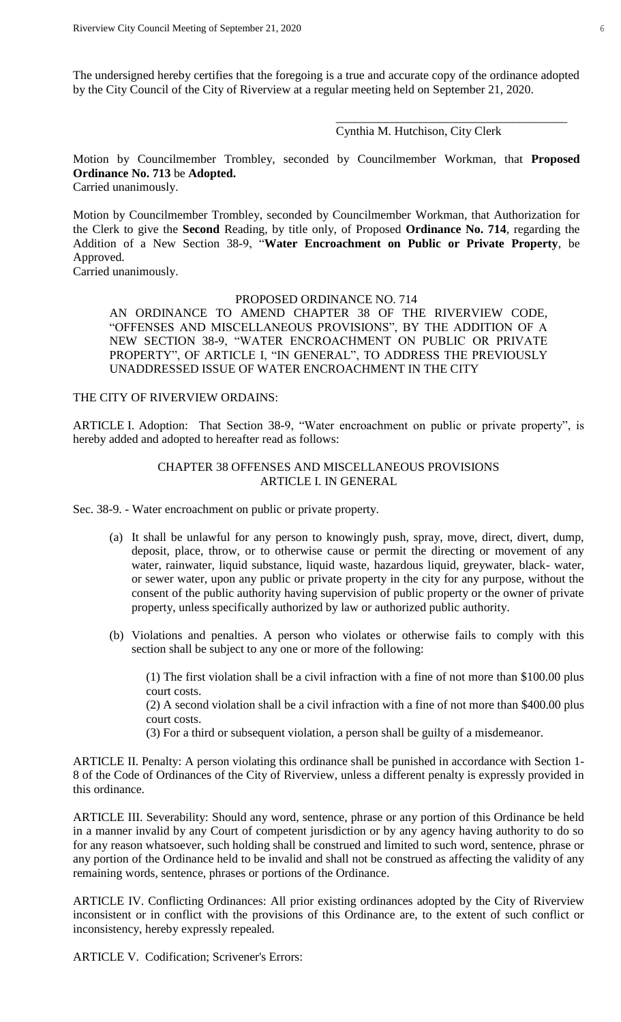The undersigned hereby certifies that the foregoing is a true and accurate copy of the ordinance adopted by the City Council of the City of Riverview at a regular meeting held on September 21, 2020.

## Cynthia M. Hutchison, City Clerk

\_\_\_\_\_\_\_\_\_\_\_\_\_\_\_\_\_\_\_\_\_\_\_\_\_\_\_\_\_\_\_\_\_\_\_\_\_\_

Motion by Councilmember Trombley, seconded by Councilmember Workman, that **Proposed Ordinance No. 713** be **Adopted.**

Carried unanimously.

Motion by Councilmember Trombley, seconded by Councilmember Workman, that Authorization for the Clerk to give the **Second** Reading, by title only, of Proposed **Ordinance No. 714**, regarding the Addition of a New Section 38-9, "**Water Encroachment on Public or Private Property**, be Approved.

Carried unanimously.

#### PROPOSED ORDINANCE NO. 714

AN ORDINANCE TO AMEND CHAPTER 38 OF THE RIVERVIEW CODE, "OFFENSES AND MISCELLANEOUS PROVISIONS", BY THE ADDITION OF A NEW SECTION 38-9, "WATER ENCROACHMENT ON PUBLIC OR PRIVATE PROPERTY", OF ARTICLE I, "IN GENERAL", TO ADDRESS THE PREVIOUSLY UNADDRESSED ISSUE OF WATER ENCROACHMENT IN THE CITY

#### THE CITY OF RIVERVIEW ORDAINS:

ARTICLE I. Adoption: That Section 38-9, "Water encroachment on public or private property", is hereby added and adopted to hereafter read as follows:

## CHAPTER 38 OFFENSES AND MISCELLANEOUS PROVISIONS ARTICLE I. IN GENERAL

Sec. 38-9. - Water encroachment on public or private property.

- (a) It shall be unlawful for any person to knowingly push, spray, move, direct, divert, dump, deposit, place, throw, or to otherwise cause or permit the directing or movement of any water, rainwater, liquid substance, liquid waste, hazardous liquid, greywater, black- water, or sewer water, upon any public or private property in the city for any purpose, without the consent of the public authority having supervision of public property or the owner of private property, unless specifically authorized by law or authorized public authority.
- (b) Violations and penalties. A person who violates or otherwise fails to comply with this section shall be subject to any one or more of the following:

(1) The first violation shall be a civil infraction with a fine of not more than \$100.00 plus court costs.

(2) A second violation shall be a civil infraction with a fine of not more than \$400.00 plus court costs.

(3) For a third or subsequent violation, a person shall be guilty of a misdemeanor.

ARTICLE II. Penalty: A person violating this ordinance shall be punished in accordance with Section 1- 8 of the Code of Ordinances of the City of Riverview, unless a different penalty is expressly provided in this ordinance.

ARTICLE III. Severability: Should any word, sentence, phrase or any portion of this Ordinance be held in a manner invalid by any Court of competent jurisdiction or by any agency having authority to do so for any reason whatsoever, such holding shall be construed and limited to such word, sentence, phrase or any portion of the Ordinance held to be invalid and shall not be construed as affecting the validity of any remaining words, sentence, phrases or portions of the Ordinance.

ARTICLE IV. Conflicting Ordinances: All prior existing ordinances adopted by the City of Riverview inconsistent or in conflict with the provisions of this Ordinance are, to the extent of such conflict or inconsistency, hereby expressly repealed.

ARTICLE V. Codification; Scrivener's Errors: